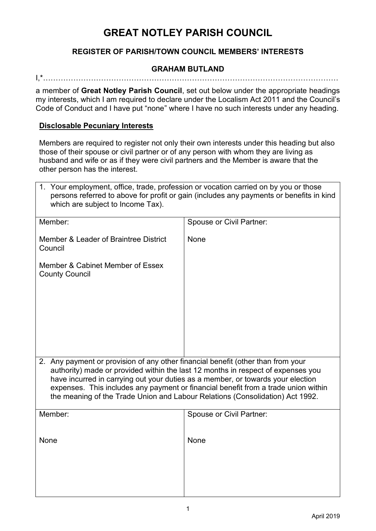# **REGISTER OF PARISH/TOWN COUNCIL MEMBERS' INTERESTS**

## **GRAHAM BUTLAND**

I,\*………………………………………………………………………………………………………

a member of **Great Notley Parish Council**, set out below under the appropriate headings my interests, which I am required to declare under the Localism Act 2011 and the Council's Code of Conduct and I have put "none" where I have no such interests under any heading.

#### **Disclosable Pecuniary Interests**

Members are required to register not only their own interests under this heading but also those of their spouse or civil partner or of any person with whom they are living as husband and wife or as if they were civil partners and the Member is aware that the other person has the interest.

| 1. Your employment, office, trade, profession or vocation carried on by you or those<br>persons referred to above for profit or gain (includes any payments or benefits in kind<br>which are subject to Income Tax).                                                                                                                                                                                                           |                                 |  |
|--------------------------------------------------------------------------------------------------------------------------------------------------------------------------------------------------------------------------------------------------------------------------------------------------------------------------------------------------------------------------------------------------------------------------------|---------------------------------|--|
| Member:                                                                                                                                                                                                                                                                                                                                                                                                                        | <b>Spouse or Civil Partner:</b> |  |
| Member & Leader of Braintree District<br>Council                                                                                                                                                                                                                                                                                                                                                                               | None                            |  |
| Member & Cabinet Member of Essex<br><b>County Council</b>                                                                                                                                                                                                                                                                                                                                                                      |                                 |  |
| 2. Any payment or provision of any other financial benefit (other than from your<br>authority) made or provided within the last 12 months in respect of expenses you<br>have incurred in carrying out your duties as a member, or towards your election<br>expenses. This includes any payment or financial benefit from a trade union within<br>the meaning of the Trade Union and Labour Relations (Consolidation) Act 1992. |                                 |  |
| Member:                                                                                                                                                                                                                                                                                                                                                                                                                        | <b>Spouse or Civil Partner:</b> |  |
| <b>None</b>                                                                                                                                                                                                                                                                                                                                                                                                                    | None                            |  |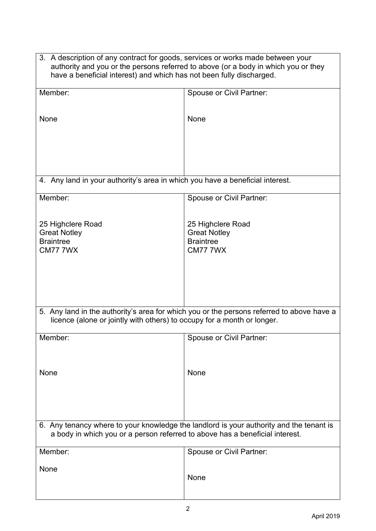| 3. A description of any contract for goods, services or works made between your<br>authority and you or the persons referred to above (or a body in which you or they<br>have a beneficial interest) and which has not been fully discharged. |                                                                                 |  |
|-----------------------------------------------------------------------------------------------------------------------------------------------------------------------------------------------------------------------------------------------|---------------------------------------------------------------------------------|--|
| Member:                                                                                                                                                                                                                                       | <b>Spouse or Civil Partner:</b>                                                 |  |
| None                                                                                                                                                                                                                                          | None                                                                            |  |
| 4. Any land in your authority's area in which you have a beneficial interest.                                                                                                                                                                 |                                                                                 |  |
| Member:                                                                                                                                                                                                                                       | <b>Spouse or Civil Partner:</b>                                                 |  |
| 25 Highclere Road<br><b>Great Notley</b><br><b>Braintree</b><br><b>CM77 7WX</b>                                                                                                                                                               | 25 Highclere Road<br><b>Great Notley</b><br><b>Braintree</b><br><b>CM77 7WX</b> |  |
| 5. Any land in the authority's area for which you or the persons referred to above have a<br>licence (alone or jointly with others) to occupy for a month or longer.                                                                          |                                                                                 |  |
| Member:                                                                                                                                                                                                                                       | Spouse or Civil Partner:                                                        |  |
| None                                                                                                                                                                                                                                          | None                                                                            |  |
| 6. Any tenancy where to your knowledge the landlord is your authority and the tenant is<br>a body in which you or a person referred to above has a beneficial interest.                                                                       |                                                                                 |  |
| Member:                                                                                                                                                                                                                                       | <b>Spouse or Civil Partner:</b>                                                 |  |
| None                                                                                                                                                                                                                                          | None                                                                            |  |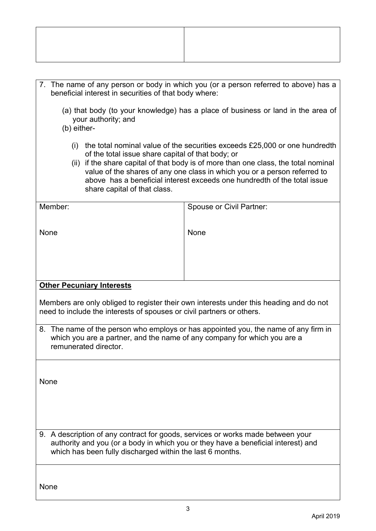- 7. The name of any person or body in which you (or a person referred to above) has a beneficial interest in securities of that body where:
	- (a) that body (to your knowledge) has a place of business or land in the area of your authority; and
	- (b) either-
		- (i) the total nominal value of the securities exceeds £25,000 or one hundredth of the total issue share capital of that body; or
		- (ii) if the share capital of that body is of more than one class, the total nominal value of the shares of any one class in which you or a person referred to above has a beneficial interest exceeds one hundredth of the total issue share capital of that class.

| Member: | <b>Spouse or Civil Partner:</b> |
|---------|---------------------------------|
|         |                                 |
| None    | None                            |
|         |                                 |
|         |                                 |
|         |                                 |
|         |                                 |

# **Other Pecuniary Interests**

Members are only obliged to register their own interests under this heading and do not need to include the interests of spouses or civil partners or others.

8. The name of the person who employs or has appointed you, the name of any firm in which you are a partner, and the name of any company for which you are a remunerated director.

None

9. A description of any contract for goods, services or works made between your authority and you (or a body in which you or they have a beneficial interest) and which has been fully discharged within the last 6 months.

None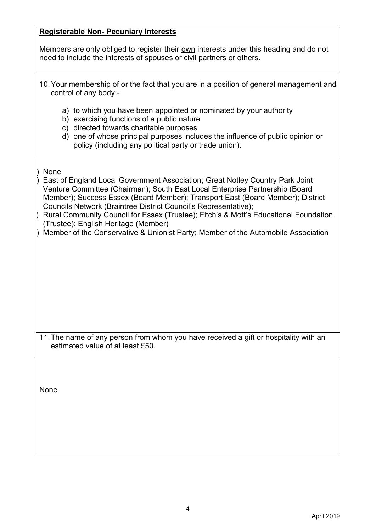# **Registerable Non- Pecuniary Interests**

Members are only obliged to register their own interests under this heading and do not need to include the interests of spouses or civil partners or others.

- 10.Your membership of or the fact that you are in a position of general management and control of any body:
	- a) to which you have been appointed or nominated by your authority
	- b) exercising functions of a public nature
	- c) directed towards charitable purposes
	- d) one of whose principal purposes includes the influence of public opinion or policy (including any political party or trade union).

# ) None

) East of England Local Government Association; Great Notley Country Park Joint Venture Committee (Chairman); South East Local Enterprise Partnership (Board Member); Success Essex (Board Member); Transport East (Board Member); District Councils Network (Braintree District Council's Representative);

| ) Rural Community Council for Essex (Trustee); Fitch's & Mott's Educational Foundation |
|----------------------------------------------------------------------------------------|
| (Trustee); English Heritage (Member)                                                   |

) Member of the Conservative & Unionist Party; Member of the Automobile Association

11.The name of any person from whom you have received a gift or hospitality with an estimated value of at least £50.

None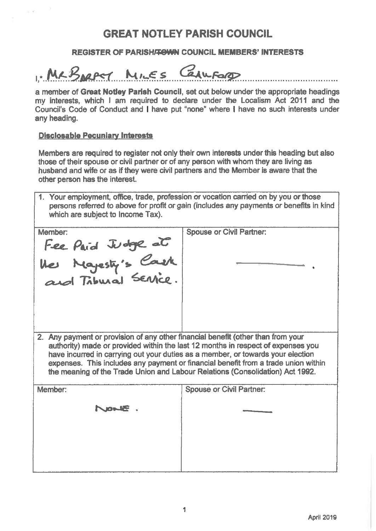## **REGISTER OF PARISH/TOWN COUNCIL MEMBERS' INTERESTS**

MLBNORT MILES CENUFORD

a member of Great Notley Parish Council, set out below under the appropriate headings my interests, which I am required to declare under the Localism Act 2011 and the Council's Code of Conduct and I have put "none" where I have no such interests under any heading.

#### **Disclosable Pecuniary Interests**

Members are required to register not only their own interests under this heading but also those of their spouse or civil partner or of any person with whom they are living as husband and wife or as if they were civil partners and the Member is aware that the other person has the interest.

1. Your employment, office, trade, profession or vocation carried on by you or those persons referred to above for profit or gain (includes any payments or benefits in kind which are subject to Income Tax).

| Member:                                                                                                                                                                                                                                                                                                                                    | <b>Spouse or Civil Partner:</b> |  |
|--------------------------------------------------------------------------------------------------------------------------------------------------------------------------------------------------------------------------------------------------------------------------------------------------------------------------------------------|---------------------------------|--|
|                                                                                                                                                                                                                                                                                                                                            |                                 |  |
| Fee Paid Judge at<br>the Mayesty's Courk<br>and Tribural Service.                                                                                                                                                                                                                                                                          |                                 |  |
|                                                                                                                                                                                                                                                                                                                                            |                                 |  |
|                                                                                                                                                                                                                                                                                                                                            |                                 |  |
|                                                                                                                                                                                                                                                                                                                                            |                                 |  |
| 2. Any payment or provision of any other financial benefit (other than from your                                                                                                                                                                                                                                                           |                                 |  |
| authority) made or provided within the last 12 months in respect of expenses you<br>have incurred in carrying out your duties as a member, or towards your election<br>expenses. This includes any payment or financial benefit from a trade union within<br>the meaning of the Trade Union and Labour Relations (Consolidation) Act 1992. |                                 |  |
| Member:                                                                                                                                                                                                                                                                                                                                    | <b>Spouse or Civil Partner:</b> |  |
| NOWE                                                                                                                                                                                                                                                                                                                                       |                                 |  |
|                                                                                                                                                                                                                                                                                                                                            |                                 |  |
|                                                                                                                                                                                                                                                                                                                                            |                                 |  |
|                                                                                                                                                                                                                                                                                                                                            |                                 |  |

. . . . . . . . . . . . . . . .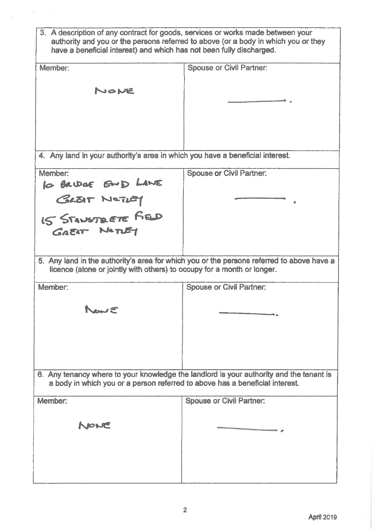| 3. A description of any contract for goods, services or works made between your<br>authority and you or the persons referred to above (or a body in which you or they<br>have a beneficial interest) and which has not been fully discharged. |                                                                                           |  |
|-----------------------------------------------------------------------------------------------------------------------------------------------------------------------------------------------------------------------------------------------|-------------------------------------------------------------------------------------------|--|
| Member:                                                                                                                                                                                                                                       | <b>Spouse or Civil Partner:</b>                                                           |  |
| NONE                                                                                                                                                                                                                                          |                                                                                           |  |
|                                                                                                                                                                                                                                               |                                                                                           |  |
|                                                                                                                                                                                                                                               |                                                                                           |  |
|                                                                                                                                                                                                                                               |                                                                                           |  |
| 4. Any land in your authority's area in which you have a beneficial interest.                                                                                                                                                                 |                                                                                           |  |
|                                                                                                                                                                                                                                               |                                                                                           |  |
| Member:                                                                                                                                                                                                                                       | <b>Spouse or Civil Partner:</b>                                                           |  |
| Is BRUGE END LANE<br>GLEAT NOTIET<br>IS STANSTRETE FIED<br>GREAT NOTIET                                                                                                                                                                       |                                                                                           |  |
|                                                                                                                                                                                                                                               |                                                                                           |  |
|                                                                                                                                                                                                                                               |                                                                                           |  |
|                                                                                                                                                                                                                                               |                                                                                           |  |
| licence (alone or jointly with others) to occupy for a month or longer.                                                                                                                                                                       | 5. Any land in the authority's area for which you or the persons referred to above have a |  |
| Member:                                                                                                                                                                                                                                       | <b>Spouse or Civil Partner:</b>                                                           |  |
| Nowe                                                                                                                                                                                                                                          |                                                                                           |  |
|                                                                                                                                                                                                                                               |                                                                                           |  |
|                                                                                                                                                                                                                                               |                                                                                           |  |
|                                                                                                                                                                                                                                               |                                                                                           |  |
|                                                                                                                                                                                                                                               |                                                                                           |  |
| 6. Any tenancy where to your knowledge the landlord is your authority and the tenant is<br>a body in which you or a person referred to above has a beneficial interest.                                                                       |                                                                                           |  |
| Member:                                                                                                                                                                                                                                       | <b>Spouse or Civil Partner:</b>                                                           |  |
|                                                                                                                                                                                                                                               |                                                                                           |  |
| NOWE                                                                                                                                                                                                                                          |                                                                                           |  |
|                                                                                                                                                                                                                                               |                                                                                           |  |
|                                                                                                                                                                                                                                               |                                                                                           |  |
|                                                                                                                                                                                                                                               |                                                                                           |  |
|                                                                                                                                                                                                                                               |                                                                                           |  |

 $\alpha=0$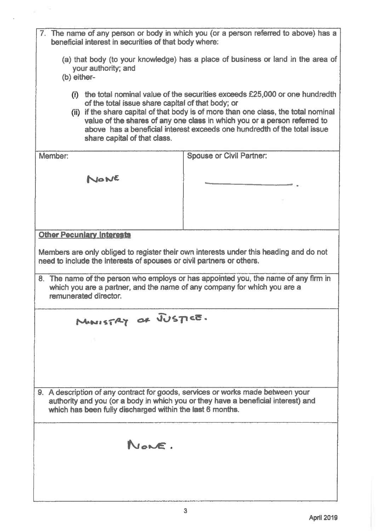| 7. The name of any person or body in which you (or a person referred to above) has a<br>beneficial interest in securities of that body where:                                                                                                                                                                                                                                                                          |                                 |  |
|------------------------------------------------------------------------------------------------------------------------------------------------------------------------------------------------------------------------------------------------------------------------------------------------------------------------------------------------------------------------------------------------------------------------|---------------------------------|--|
| (a) that body (to your knowledge) has a place of business or land in the area of<br>your authority; and<br>(b) either-                                                                                                                                                                                                                                                                                                 |                                 |  |
| the total nominal value of the securities exceeds £25,000 or one hundredth<br>(i)<br>of the total issue share capital of that body; or<br>(ii) if the share capital of that body is of more than one class, the total nominal<br>value of the shares of any one class in which you or a person referred to<br>above has a beneficial interest exceeds one hundredth of the total issue<br>share capital of that class. |                                 |  |
| Member:                                                                                                                                                                                                                                                                                                                                                                                                                | <b>Spouse or Civil Partner:</b> |  |
| NONE                                                                                                                                                                                                                                                                                                                                                                                                                   |                                 |  |
|                                                                                                                                                                                                                                                                                                                                                                                                                        |                                 |  |
| <b>Other Pecuniary Interests</b>                                                                                                                                                                                                                                                                                                                                                                                       |                                 |  |
| Members are only obliged to register their own interests under this heading and do not<br>need to include the interests of spouses or civil partners or others.<br>8. The name of the person who employs or has appointed you, the name of any firm in<br>which you are a partner, and the name of any company for which you are a<br>remunerated director.                                                            |                                 |  |
| MINISTRY OF JUSTICE.                                                                                                                                                                                                                                                                                                                                                                                                   |                                 |  |
|                                                                                                                                                                                                                                                                                                                                                                                                                        |                                 |  |
|                                                                                                                                                                                                                                                                                                                                                                                                                        |                                 |  |
|                                                                                                                                                                                                                                                                                                                                                                                                                        |                                 |  |
| 9. A description of any contract for goods, services or works made between your<br>authority and you (or a body in which you or they have a beneficial interest) and<br>which has been fully discharged within the last 6 months.                                                                                                                                                                                      |                                 |  |
| NONE.                                                                                                                                                                                                                                                                                                                                                                                                                  |                                 |  |
|                                                                                                                                                                                                                                                                                                                                                                                                                        |                                 |  |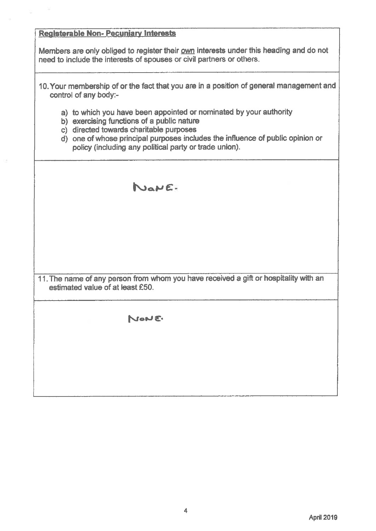# Registerable Non-Pecuniary Interests

Members are only obliged to register their own interests under this heading and do not need to include the interests of spouses or civil partners or others.

- 10. Your membership of or the fact that you are in a position of general management and control of any body:
	- a) to which you have been appointed or nominated by your authority
	- b) exercising functions of a public nature
	- c) directed towards charitable purposes
	- $\overrightarrow{d}$  one of whose principal purposes includes the influence of public opinion or policy (including any political party or trade union).

NONE

11. The name of any person from whom you have received a gift or hospitality with an estimated value of at least £50.

Now C.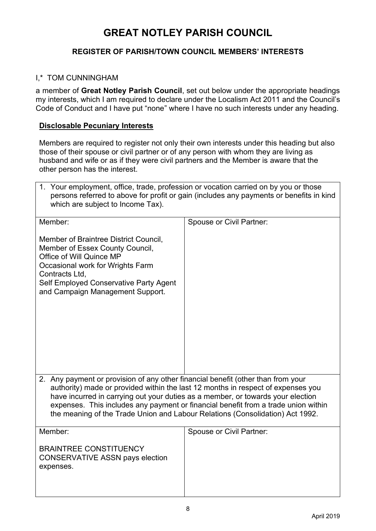# **REGISTER OF PARISH/TOWN COUNCIL MEMBERS' INTERESTS**

## I,\* TOM CUNNINGHAM

a member of **Great Notley Parish Council**, set out below under the appropriate headings my interests, which I am required to declare under the Localism Act 2011 and the Council's Code of Conduct and I have put "none" where I have no such interests under any heading.

## **Disclosable Pecuniary Interests**

Members are required to register not only their own interests under this heading but also those of their spouse or civil partner or of any person with whom they are living as husband and wife or as if they were civil partners and the Member is aware that the other person has the interest.

| 1. Your employment, office, trade, profession or vocation carried on by you or those    |
|-----------------------------------------------------------------------------------------|
| persons referred to above for profit or gain (includes any payments or benefits in kind |
| which are subject to Income Tax).                                                       |

| Member:                                                                                                                                                                                                                                                                                                                                                                                                                        | <b>Spouse or Civil Partner:</b> |  |
|--------------------------------------------------------------------------------------------------------------------------------------------------------------------------------------------------------------------------------------------------------------------------------------------------------------------------------------------------------------------------------------------------------------------------------|---------------------------------|--|
| Member of Braintree District Council,<br>Member of Essex County Council,<br>Office of Will Quince MP<br>Occasional work for Wrights Farm<br>Contracts Ltd,<br>Self Employed Conservative Party Agent<br>and Campaign Management Support.                                                                                                                                                                                       |                                 |  |
| 2. Any payment or provision of any other financial benefit (other than from your<br>authority) made or provided within the last 12 months in respect of expenses you<br>have incurred in carrying out your duties as a member, or towards your election<br>expenses. This includes any payment or financial benefit from a trade union within<br>the meaning of the Trade Union and Labour Relations (Consolidation) Act 1992. |                                 |  |
| Member:                                                                                                                                                                                                                                                                                                                                                                                                                        | <b>Spouse or Civil Partner:</b> |  |
| <b>BRAINTREE CONSTITUENCY</b><br><b>CONSERVATIVE ASSN pays election</b><br>expenses.                                                                                                                                                                                                                                                                                                                                           |                                 |  |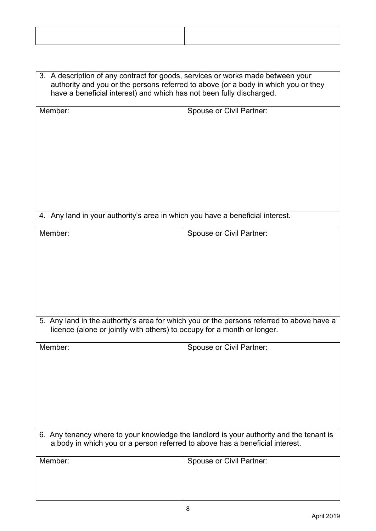| 3. A description of any contract for goods, services or works made between your<br>authority and you or the persons referred to above (or a body in which you or they<br>have a beneficial interest) and which has not been fully discharged. |                                 |  |
|-----------------------------------------------------------------------------------------------------------------------------------------------------------------------------------------------------------------------------------------------|---------------------------------|--|
| Member:                                                                                                                                                                                                                                       | <b>Spouse or Civil Partner:</b> |  |
| 4. Any land in your authority's area in which you have a beneficial interest.                                                                                                                                                                 |                                 |  |
| Member:                                                                                                                                                                                                                                       | Spouse or Civil Partner:        |  |
| 5. Any land in the authority's area for which you or the persons referred to above have a<br>licence (alone or jointly with others) to occupy for a month or longer.                                                                          |                                 |  |
| Member:                                                                                                                                                                                                                                       | Spouse or Civil Partner:        |  |
| 6. Any tenancy where to your knowledge the landlord is your authority and the tenant is<br>a body in which you or a person referred to above has a beneficial interest.                                                                       |                                 |  |
| Member:                                                                                                                                                                                                                                       | <b>Spouse or Civil Partner:</b> |  |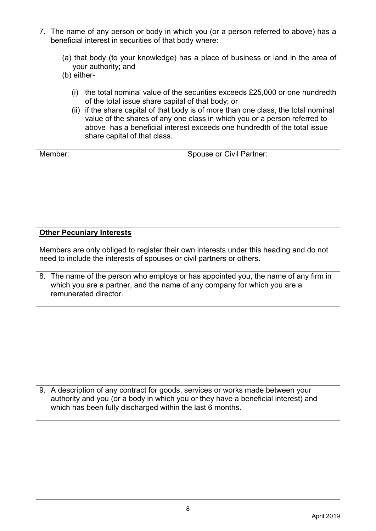| 7. The name of any person or body in which you (or a person referred to above) has a |  |
|--------------------------------------------------------------------------------------|--|
| beneficial interest in securities of that body where:                                |  |

- (a) that body (to your knowledge) has a place of business or land in the area of your authority; and
- (b) either-
	- (i) the total nominal value of the securities exceeds £25,000 or one hundredth of the total issue share capital of that body; or
	- (ii) if the share capital of that body is of more than one class, the total nominal value of the shares of any one class in which you or a person referred to above has a beneficial interest exceeds one hundredth of the total issue share capital of that class.

| Member:                                                                           | <b>Spouse or Civil Partner:</b>                                                        |
|-----------------------------------------------------------------------------------|----------------------------------------------------------------------------------------|
|                                                                                   |                                                                                        |
|                                                                                   |                                                                                        |
|                                                                                   |                                                                                        |
|                                                                                   |                                                                                        |
|                                                                                   |                                                                                        |
|                                                                                   |                                                                                        |
|                                                                                   |                                                                                        |
|                                                                                   |                                                                                        |
|                                                                                   |                                                                                        |
| <b>Other Pecuniary Interests</b>                                                  |                                                                                        |
|                                                                                   |                                                                                        |
|                                                                                   | Members are only obliged to register their own interests under this heading and do not |
| need to include the interests of spouses or civil partners or others.             |                                                                                        |
|                                                                                   |                                                                                        |
|                                                                                   | 8. The name of the person who employs or has appointed you, the name of any firm in    |
| which you are a partner, and the name of any company for which you are a          |                                                                                        |
| remunerated director.                                                             |                                                                                        |
|                                                                                   |                                                                                        |
|                                                                                   |                                                                                        |
|                                                                                   |                                                                                        |
|                                                                                   |                                                                                        |
|                                                                                   |                                                                                        |
|                                                                                   |                                                                                        |
|                                                                                   |                                                                                        |
|                                                                                   |                                                                                        |
|                                                                                   |                                                                                        |
|                                                                                   |                                                                                        |
|                                                                                   |                                                                                        |
| 9. A description of any contract for goods, services or works made between your   |                                                                                        |
|                                                                                   |                                                                                        |
| authority and you (or a body in which you or they have a beneficial interest) and |                                                                                        |
| which has been fully discharged within the last 6 months.                         |                                                                                        |
|                                                                                   |                                                                                        |
|                                                                                   |                                                                                        |
|                                                                                   |                                                                                        |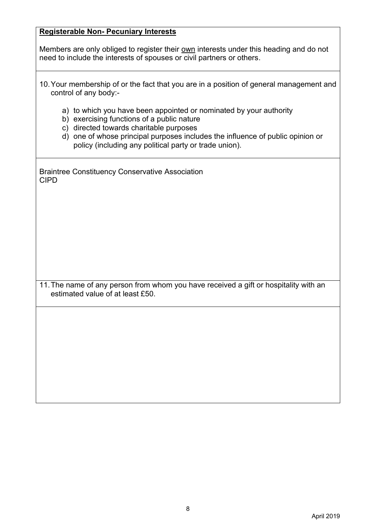# **Registerable Non- Pecuniary Interests**

Members are only obliged to register their own interests under this heading and do not need to include the interests of spouses or civil partners or others.

| 10. Your membership of or the fact that you are in a position of general management and |  |  |  |  |
|-----------------------------------------------------------------------------------------|--|--|--|--|
| control of any body:-                                                                   |  |  |  |  |

- a) to which you have been appointed or nominated by your authority
- b) exercising functions of a public nature
- c) directed towards charitable purposes
- d) one of whose principal purposes includes the influence of public opinion or policy (including any political party or trade union).

Braintree Constituency Conservative Association CIPD

11.The name of any person from whom you have received a gift or hospitality with an estimated value of at least £50.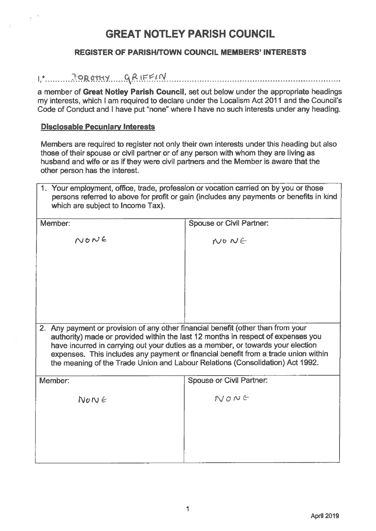## **REGISTER OF PARISH/TOWN COUNCIL MEMBERS' INTERESTS**

#### 

a member of Great Notley Parish Council, set out below under the appropriate headings my interests, which I am required to declare under the Localism Act 2011 and the Council's Code of Conduct and I have put "none" where I have no such interests under any heading.

#### **Disclosable Pecuniary Interests**

Members are required to register not only their own interests under this heading but also those of their spouse or civil partner or of any person with whom they are living as husband and wife or as if they were civil partners and the Member is aware that the other person has the interest.

| 1. Your employment, office, trade, profession or vocation carried on by you or those<br>which are subject to Income Tax).                                                                                                                                                                                                                                                                                                      | persons referred to above for profit or gain (includes any payments or benefits in kind |  |
|--------------------------------------------------------------------------------------------------------------------------------------------------------------------------------------------------------------------------------------------------------------------------------------------------------------------------------------------------------------------------------------------------------------------------------|-----------------------------------------------------------------------------------------|--|
| Member:                                                                                                                                                                                                                                                                                                                                                                                                                        | <b>Spouse or Civil Partner:</b>                                                         |  |
| $N$ ONE                                                                                                                                                                                                                                                                                                                                                                                                                        | $NQ$ $NQ$                                                                               |  |
|                                                                                                                                                                                                                                                                                                                                                                                                                                |                                                                                         |  |
| 2. Any payment or provision of any other financial benefit (other than from your<br>authority) made or provided within the last 12 months in respect of expenses you<br>have incurred in carrying out your duties as a member, or towards your election<br>expenses. This includes any payment or financial benefit from a trade union within<br>the meaning of the Trade Union and Labour Relations (Consolidation) Act 1992. |                                                                                         |  |
| Member:                                                                                                                                                                                                                                                                                                                                                                                                                        | <b>Spouse or Civil Partner:</b>                                                         |  |
| $N$ on $\epsilon$                                                                                                                                                                                                                                                                                                                                                                                                              | NONE                                                                                    |  |
|                                                                                                                                                                                                                                                                                                                                                                                                                                |                                                                                         |  |
|                                                                                                                                                                                                                                                                                                                                                                                                                                |                                                                                         |  |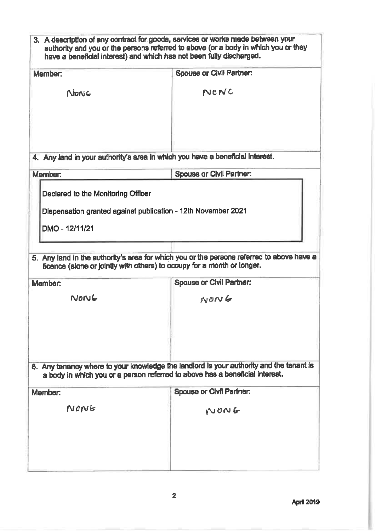|                | 3. A description of any contract for goods, services or works made between your<br>authority and you or the persons referred to above (or a body in which you or they<br>have a beneficial interest) and which has not been fully discharged. |
|----------------|-----------------------------------------------------------------------------------------------------------------------------------------------------------------------------------------------------------------------------------------------|
| <b>Member:</b> | <b>Spouse or Civil Partner:</b>                                                                                                                                                                                                               |
| Nonic          | NONC                                                                                                                                                                                                                                          |
|                |                                                                                                                                                                                                                                               |
|                | 4. Any land in your authority's area in which you have a beneficial interest.                                                                                                                                                                 |
| Member:        | <b>Spouse or Civil Partner:</b>                                                                                                                                                                                                               |
| DMO - 12/11/21 |                                                                                                                                                                                                                                               |
|                | 5. Any land in the authority's area for which you or the persons referred to above have a<br>licence (alone or jointly with others) to occupy for a month or longer.                                                                          |
| Member:        | <b>Spouse or Civil Partner:</b>                                                                                                                                                                                                               |
| NONG           | NONG                                                                                                                                                                                                                                          |
|                | 6. Any tenancy where to your knowledge the landlord is your authority and the tenant is<br>a body in which you or a person referred to above has a beneficial interest.                                                                       |
| Member:        | <b>Spouse or Civil Partner:</b>                                                                                                                                                                                                               |
| NONE           | NONG                                                                                                                                                                                                                                          |
|                |                                                                                                                                                                                                                                               |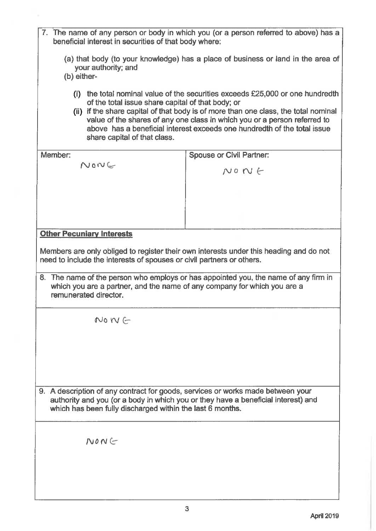| 7. The name of any person or body in which you (or a person referred to above) has a<br>beneficial interest in securities of that body where:                                                                                                                                                                                                               |                                                                                                                                                                                                                                                                                                                                  |  |
|-------------------------------------------------------------------------------------------------------------------------------------------------------------------------------------------------------------------------------------------------------------------------------------------------------------------------------------------------------------|----------------------------------------------------------------------------------------------------------------------------------------------------------------------------------------------------------------------------------------------------------------------------------------------------------------------------------|--|
| (a) that body (to your knowledge) has a place of business or land in the area of<br>your authority; and<br>(b) either-                                                                                                                                                                                                                                      |                                                                                                                                                                                                                                                                                                                                  |  |
| of the total issue share capital of that body; or<br>share capital of that class.                                                                                                                                                                                                                                                                           | (i) the total nominal value of the securities exceeds $£25,000$ or one hundredth<br>(ii) if the share capital of that body is of more than one class, the total nominal<br>value of the shares of any one class in which you or a person referred to<br>above has a beneficial interest exceeds one hundredth of the total issue |  |
| Member:                                                                                                                                                                                                                                                                                                                                                     | <b>Spouse or Civil Partner:</b>                                                                                                                                                                                                                                                                                                  |  |
| $N$ on $C$                                                                                                                                                                                                                                                                                                                                                  | $N$ o $N \in$                                                                                                                                                                                                                                                                                                                    |  |
|                                                                                                                                                                                                                                                                                                                                                             |                                                                                                                                                                                                                                                                                                                                  |  |
|                                                                                                                                                                                                                                                                                                                                                             |                                                                                                                                                                                                                                                                                                                                  |  |
|                                                                                                                                                                                                                                                                                                                                                             |                                                                                                                                                                                                                                                                                                                                  |  |
| <b>Other Pecuniary Interests</b>                                                                                                                                                                                                                                                                                                                            |                                                                                                                                                                                                                                                                                                                                  |  |
| Members are only obliged to register their own interests under this heading and do not<br>need to include the interests of spouses or civil partners or others.<br>8. The name of the person who employs or has appointed you, the name of any firm in<br>which you are a partner, and the name of any company for which you are a<br>remunerated director. |                                                                                                                                                                                                                                                                                                                                  |  |
| $No~IV$ (-                                                                                                                                                                                                                                                                                                                                                  |                                                                                                                                                                                                                                                                                                                                  |  |
|                                                                                                                                                                                                                                                                                                                                                             |                                                                                                                                                                                                                                                                                                                                  |  |
| 9. A description of any contract for goods, services or works made between your<br>authority and you (or a body in which you or they have a beneficial interest) and<br>which has been fully discharged within the last 6 months.                                                                                                                           |                                                                                                                                                                                                                                                                                                                                  |  |
| $N$ <sub>O</sub> $N \subset$                                                                                                                                                                                                                                                                                                                                |                                                                                                                                                                                                                                                                                                                                  |  |
|                                                                                                                                                                                                                                                                                                                                                             |                                                                                                                                                                                                                                                                                                                                  |  |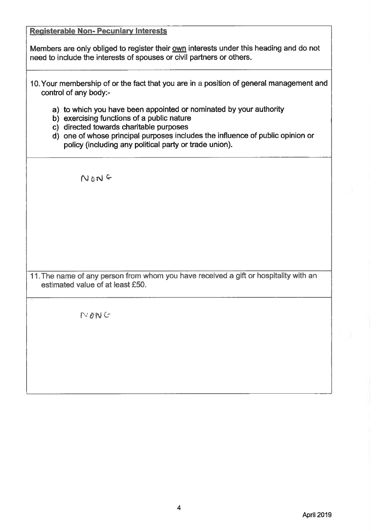**Registerable Non-Pecuniary Interests** Members are only obliged to register their own interests under this heading and do not need to include the interests of spouses or civil partners or others. 10. Your membership of or the fact that you are in a position of general management and control of any body:a) to which you have been appointed or nominated by your authority b) exercising functions of a public nature c) directed towards charitable purposes d) one of whose principal purposes includes the influence of public opinion or policy (including any political party or trade union). NONG 11. The name of any person from whom you have received a gift or hospitality with an estimated value of at least £50.  $NONC$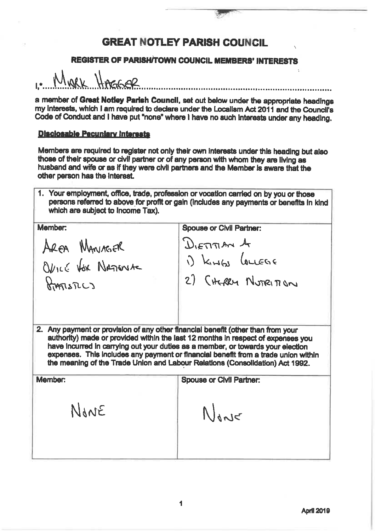# **REGISTER OF PARISH/TOWN COUNCIL MEMBERS' INTERESTS**

MARK HASSAR

a member of Great Notley Parish Council, set out below under the appropriate headings my interests, which I am required to declare under the Localism Act 2011 and the Council's Code of Conduct and I have put "none" where I have no such interests under any heading.

#### **Disclosable Pecuniary Interests**

Members are required to register not only their own interests under this heading but also those of their spouse or civil partner or of any person with whom they are living as husband and wife or as if they were civil partners and the Member is aware that the other person has the interest.

1. Your employment, office, trade, profession or vocation carried on by you or those persons referred to above for profit or gain (includes any payments or benefits in kind which are subject to income Tax).

Mambar:

AREA MANAGER Ovice Vox Nazioniste RIATISTICS

**Spouse or Civil Partner:** 

 $D_{\text{term}}$  on  $A$ i) Kings Loughe

2) CHERRY NUTRITION

2. Any payment or provision of any other financial benefit (other than from your authority) made or provided within the last 12 months in respect of expenses you have incurred in carrying out your duties as a member, or towards your election expenses. This includes any payment or financial benefit from a trade union within the meaning of the Trade Union and Labour Relations (Consolidation) Act 1992.

Member: **Spouse or Civil Partner:** NANE None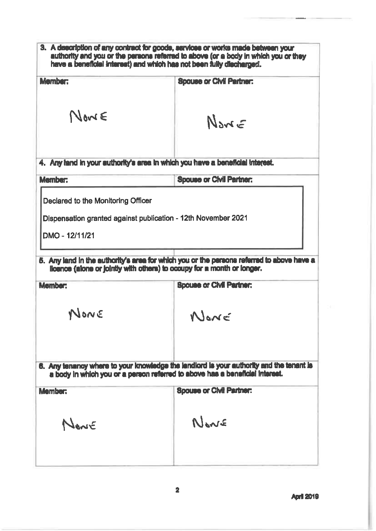| 3. A description of any contract for goods, services or works made between your<br>authority and you or the persons referred to above (or a body in which you or they<br>have a beneficial interest) and which has not been fully discharged. |                                                                                                                                                                         |
|-----------------------------------------------------------------------------------------------------------------------------------------------------------------------------------------------------------------------------------------------|-------------------------------------------------------------------------------------------------------------------------------------------------------------------------|
| <b>Mamber:</b>                                                                                                                                                                                                                                | <b>Spouse or Civil Partner:</b>                                                                                                                                         |
| Nowe                                                                                                                                                                                                                                          | $N_{\text{max}}$ $\epsilon$                                                                                                                                             |
| 4. Any land in your authority's area in which you have a beneficial interest.                                                                                                                                                                 |                                                                                                                                                                         |
| <b>Mambar:</b>                                                                                                                                                                                                                                | <b>Spouse or Civil Partner:</b>                                                                                                                                         |
| Dispensation granted against publication - 12th November 2021<br>DMO - 12/11/21<br>licence (alone or jointly with others) to occupy for a month or longer.<br><b>Mambar:</b>                                                                  | 5. Any land in the authority's area for which you or the persons referred to above have a<br><b>Spouse or Civil Partner:</b>                                            |
| NONE                                                                                                                                                                                                                                          | NONE                                                                                                                                                                    |
|                                                                                                                                                                                                                                               | 6. Any tenancy where to your knowledge the landlord is your authority and the tenant is<br>a body in which you or a person referred to above has a beneficial interest. |
| <b>Mamber:</b>                                                                                                                                                                                                                                | <b>Spouse or Civil Partner:</b>                                                                                                                                         |
| Navir                                                                                                                                                                                                                                         | Neare                                                                                                                                                                   |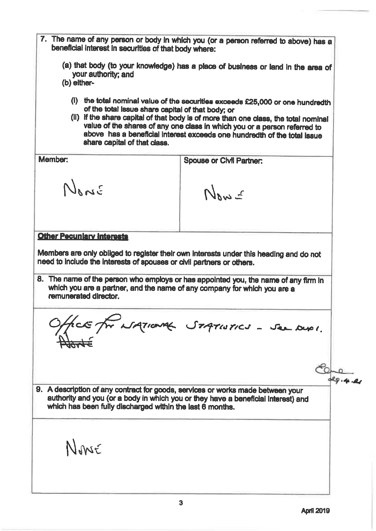7. The name of any person or body in which you (or a person referred to above) has a beneficial interest in securities of that body where: (a) that body (to your knowledge) has a place of business or land in the area of your authority; and (b) either-(i) the total nominal value of the securities exceeds £25,000 or one hundredth of the total issue share capital of that body; or (ii) if the share capital of that body is of more than one class, the total nominal value of the shares of any one class in which you or a person referred to above has a beneficial interest exceeds one hundredth of the total issue share capital of that class. Member: **Spouse or Civil Partner:** NANE Now **Other Pecuniary Interests** Members are only obliged to register their own interests under this heading and do not need to include the interests of spouses or civil partners or others. 8. The name of the person who employs or has appointed you, the name of any firm in which you are a partner, and the name of any company for which you are a remunerated director. face for NATIONAL STATISTICS - See DUPI. 29.4.2 9. A description of any contract for goods, services or works made between your authority and you (or a body in which you or they have a beneficial interest) and which has been fully discharged within the last 6 months. None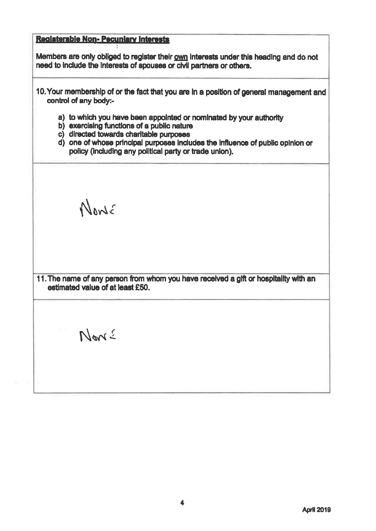# Registerable Non-Pecuniary Interests

Members are only obliged to register their own interests under this heading and do not need to include the interests of spouses or civil partners or others.

- 10. Your membership of or the fact that you are in a position of general management and control of any body:
	- a) to which you have been appointed or nominated by your authority
	- b) exercising functions of a public nature
	- c) directed towards charitable purposes
	- d) one of whose principal purposes includes the influence of public opinion or policy (including any political party or trade union).

Nowe

11. The name of any person from whom you have received a glft or hospitality with an estimated value of at least £50.

Nové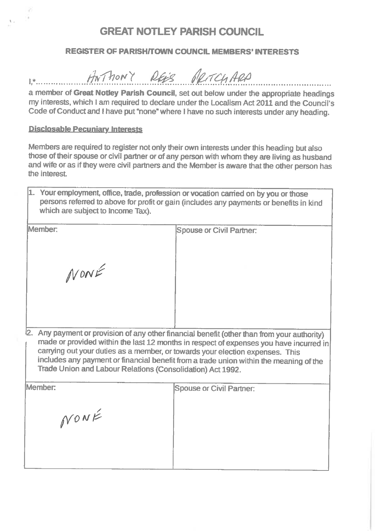## **REGISTER OF PARISH/TOWN COUNCIL MEMBERS' INTERESTS**

ANTHONY REES PRITCHARD  $[x_1, \ldots, x_n, \ldots, x_n]$ 

a member of Great Notley Parish Council, set out below under the appropriate headings my interests, which I am required to declare under the Localism Act 2011 and the Council's Code of Conduct and I have put "none" where I have no such interests under any heading.

#### **Disclosable Pecuniary Interests**

Members are required to register not only their own interests under this heading but also those of their spouse or civil partner or of any person with whom they are living as husband and wife or as if they were civil partners and the Member is aware that the other person has the interest.

| 1. Your employment, office, trade, profession or vocation carried on by you or those<br>persons referred to above for profit or gain (includes any payments or benefits in kind<br>which are subject to Income Tax). |                                                                                                          |
|----------------------------------------------------------------------------------------------------------------------------------------------------------------------------------------------------------------------|----------------------------------------------------------------------------------------------------------|
| Member:<br>NONÉ                                                                                                                                                                                                      | Spouse or Civil Partner:                                                                                 |
|                                                                                                                                                                                                                      | <sup>1</sup> 2. Any payment or provision of any other financial benefit (other than from your authority) |

made or provided within the last 12 months in respect of expenses you have incurred in carrying out your duties as a member, or towards your election expenses. This includes any payment or financial benefit from a trade union within the meaning of the Trade Union and Labour Relations (Consolidation) Act 1992.

| Member: | <b>Spouse or Civil Partner:</b> |  |
|---------|---------------------------------|--|
|         |                                 |  |
| NONÉ    |                                 |  |
|         |                                 |  |
|         |                                 |  |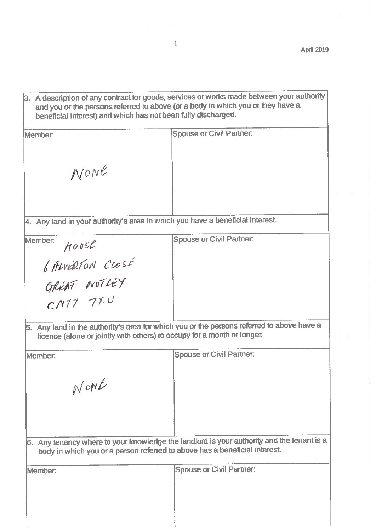|  | [3. A description of any contract for goods, services or works made between your authority |
|--|--------------------------------------------------------------------------------------------|
|  | and you or the persons referred to above (or a body in which you or they have a            |
|  | beneficial interest) and which has not been fully discharged.                              |
|  |                                                                                            |

| Member:                                                                       | <b>Spouse or Civil Partner:</b>                                                           |
|-------------------------------------------------------------------------------|-------------------------------------------------------------------------------------------|
|                                                                               |                                                                                           |
|                                                                               |                                                                                           |
|                                                                               |                                                                                           |
| NONE                                                                          |                                                                                           |
|                                                                               |                                                                                           |
|                                                                               |                                                                                           |
| 4. Any land in your authority's area in which you have a beneficial interest. |                                                                                           |
|                                                                               |                                                                                           |
| Member:<br>H0USE                                                              | <b>Spouse or Civil Partner:</b>                                                           |
|                                                                               |                                                                                           |
| <i>6 ALVERTON CLOSE</i>                                                       |                                                                                           |
| GREAT NOTLEY                                                                  |                                                                                           |
|                                                                               |                                                                                           |
|                                                                               |                                                                                           |
|                                                                               |                                                                                           |
| licence (alone or jointly with others) to occupy for a month or longer.       | 5. Any land in the authority's area for which you or the persons referred to above have a |
|                                                                               |                                                                                           |
| Member:                                                                       | Spouse or Civil Partner:                                                                  |
|                                                                               |                                                                                           |
| NONE                                                                          |                                                                                           |
|                                                                               |                                                                                           |
|                                                                               |                                                                                           |
|                                                                               |                                                                                           |
|                                                                               |                                                                                           |
| body in which you or a person referred to above has a beneficial interest.    | 6. Any tenancy where to your knowledge the landlord is your authority and the tenant is a |
|                                                                               |                                                                                           |
| Member:                                                                       | <b>Spouse or Civil Partner:</b>                                                           |
|                                                                               |                                                                                           |
|                                                                               |                                                                                           |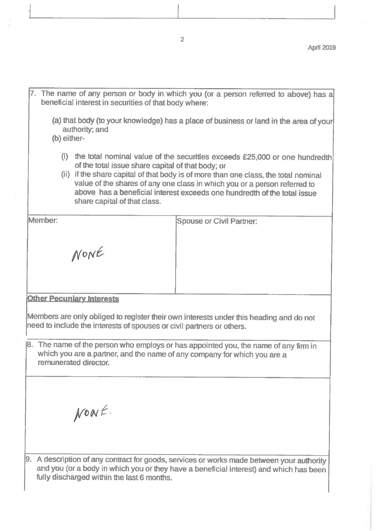7. The name of any person or body in which you (or a person referred to above) has a beneficial interest in securities of that body where:

(a) that body (to your knowledge) has a place of business or land in the area of your authority; and

(b) either-

- (i) the total nominal value of the securities exceeds £25,000 or one hundredth of the total issue share capital of that body; or
- (ii) if the share capital of that body is of more than one class, the total nominal value of the shares of any one class in which you or a person referred to above has a beneficial interest exceeds one hundredth of the total issue share capital of that class.

Member:

**Spouse or Civil Partner:** 

**Other Pecuniary Interests** 

NONE

Members are only obliged to register their own interests under this heading and do not need to include the interests of spouses or civil partners or others.

[8. The name of the person who employs or has appointed you, the name of any firm in which you are a partner, and the name of any company for which you are a remunerated director.

NOWE.

 $9.$  A description of any contract for goods, services or works made between your authority and you (or a body in which you or they have a beneficial interest) and which has been fully discharged within the last 6 months.

 $\overline{2}$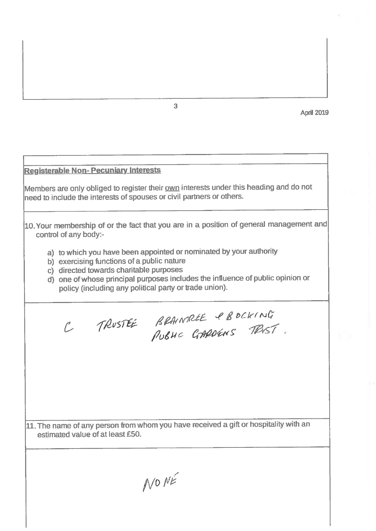**April 2019** 

# **Registerable Non-Pecuniary Interests** Members are only obliged to register their own interests under this heading and do not need to include the interests of spouses or civil partners or others.  $|10$ . Your membership of or the fact that you are in a position of general management and control of any body:a) to which you have been appointed or nominated by your authority b) exercising functions of a public nature c) directed towards charitable purposes d) one of whose principal purposes includes the influence of public opinion or policy (including any political party or trade union). C TRUSTEE BRAINSREE PBOCKING 11. The name of any person from whom you have received a gift or hospitality with an estimated value of at least £50. NO NÉ

 $\overline{3}$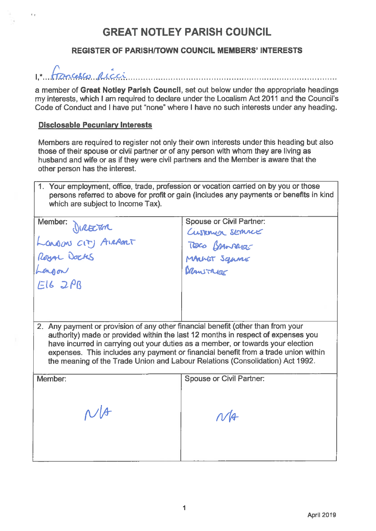# **REGISTER OF PARISH/TOWN COUNCIL MEMBERS' INTERESTS**



a member of Great Notley Parish Council, set out below under the appropriate headings my interests, which I am required to declare under the Localism Act 2011 and the Council's Code of Conduct and I have put "none" where I have no such interests under any heading.

## **Disclosable Pecuniary Interests**

 $\bar{q}$  ,  $\bar{q}$ 

Members are required to register not only their own interests under this heading but also those of their spouse or civil partner or of any person with whom they are living as husband and wife or as if they were civil partners and the Member is aware that the other person has the interest.

1. Your employment, office, trade, profession or vocation carried on by you or those persons referred to above for profit or gain (includes any payments or benefits in kind which are subject to Income Tax).

| Member:<br>DIRETAR<br>Landons CITY AIRPORT<br>Royal Docks                                                                                                                                                                                                                                                                                                                                                                      | <b>Spouse or Civil Partner:</b><br>Customer service<br>TOCO GAMNAUE<br>MANET Squine |  |
|--------------------------------------------------------------------------------------------------------------------------------------------------------------------------------------------------------------------------------------------------------------------------------------------------------------------------------------------------------------------------------------------------------------------------------|-------------------------------------------------------------------------------------|--|
| E162PB                                                                                                                                                                                                                                                                                                                                                                                                                         |                                                                                     |  |
| 2. Any payment or provision of any other financial benefit (other than from your<br>authority) made or provided within the last 12 months in respect of expenses you<br>have incurred in carrying out your duties as a member, or towards your election<br>expenses. This includes any payment or financial benefit from a trade union within<br>the meaning of the Trade Union and Labour Relations (Consolidation) Act 1992. |                                                                                     |  |
| Member:                                                                                                                                                                                                                                                                                                                                                                                                                        | <b>Spouse or Civil Partner:</b>                                                     |  |
| N/f                                                                                                                                                                                                                                                                                                                                                                                                                            | N/4                                                                                 |  |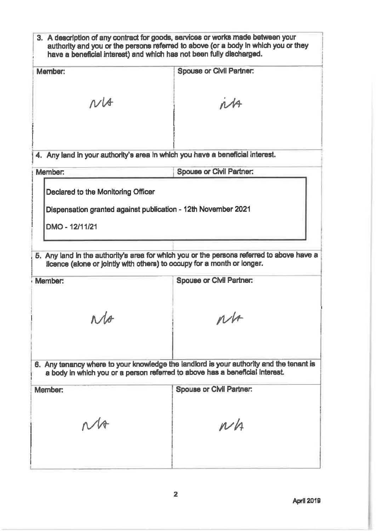| 3. A description of any contract for goods, services or works made between your<br>authority and you or the persons referred to above (or a body in which you or they<br>have a beneficial interest) and which has not been fully discharged. |                                 |  |
|-----------------------------------------------------------------------------------------------------------------------------------------------------------------------------------------------------------------------------------------------|---------------------------------|--|
| Member:                                                                                                                                                                                                                                       | <b>Spouse or Civil Partner:</b> |  |
| $N\mathcal{A}$                                                                                                                                                                                                                                | nA                              |  |
| 4. Any land in your authority's area in which you have a beneficial interest.                                                                                                                                                                 |                                 |  |
| Member:                                                                                                                                                                                                                                       | <b>Spouse or Civil Partner:</b> |  |
| Declared to the Monitoring Officer<br>Dispensation granted against publication - 12th November 2021<br>DMO - 12/11/21                                                                                                                         |                                 |  |
| 5. Any land in the authority's area for which you or the persons referred to above have a<br>licence (alone or jointly with others) to occupy for a month or longer.<br><b>Spouse or Civil Partner:</b><br>Member:                            |                                 |  |
| s.                                                                                                                                                                                                                                            | N/r                             |  |
| 6. Any tenancy where to your knowledge the landlord is your authority and the tenant is<br>a body in which you or a person referred to above has a beneficial interest.                                                                       |                                 |  |
| Member:<br>$M_{\odot}$                                                                                                                                                                                                                        | Spouse or Civil Partner:        |  |
|                                                                                                                                                                                                                                               | $\nu h$                         |  |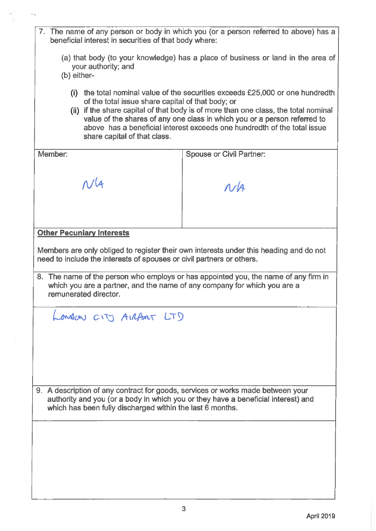- 7. The name of any person or body in which you (or a person referred to above) has a beneficial interest in securities of that body where:
	- (a) that body (to your knowledge) has a place of business or land in the area of your authority; and
	- (b) either-
		- (i) the total nominal value of the securities exceeds £25,000 or one hundredth of the total issue share capital of that body; or
		- (ii) if the share capital of that body is of more than one class, the total nominal value of the shares of any one class in which you or a person referred to above has a beneficial interest exceeds one hundredth of the total issue share capital of that class.

| Member:                                                                                                                                                                                                                           | <b>Spouse or Civil Partner:</b> |  |
|-----------------------------------------------------------------------------------------------------------------------------------------------------------------------------------------------------------------------------------|---------------------------------|--|
|                                                                                                                                                                                                                                   |                                 |  |
| $N\sqrt{4}$                                                                                                                                                                                                                       | $\Lambda$ /A                    |  |
|                                                                                                                                                                                                                                   |                                 |  |
|                                                                                                                                                                                                                                   |                                 |  |
|                                                                                                                                                                                                                                   |                                 |  |
| <b>Other Pecuniary Interests</b>                                                                                                                                                                                                  |                                 |  |
| Members are only obliged to register their own interests under this heading and do not<br>need to include the interests of spouses or civil partners or others.                                                                   |                                 |  |
| 8. The name of the person who employs or has appointed you, the name of any firm in<br>which you are a partner, and the name of any company for which you are a<br>remunerated director.                                          |                                 |  |
| London CITY AIRPORT LTD                                                                                                                                                                                                           |                                 |  |
|                                                                                                                                                                                                                                   |                                 |  |
|                                                                                                                                                                                                                                   |                                 |  |
|                                                                                                                                                                                                                                   |                                 |  |
|                                                                                                                                                                                                                                   |                                 |  |
|                                                                                                                                                                                                                                   |                                 |  |
| 9. A description of any contract for goods, services or works made between your<br>authority and you (or a body in which you or they have a beneficial interest) and<br>which has been fully discharged within the last 6 months. |                                 |  |
|                                                                                                                                                                                                                                   |                                 |  |
|                                                                                                                                                                                                                                   |                                 |  |
|                                                                                                                                                                                                                                   |                                 |  |
|                                                                                                                                                                                                                                   |                                 |  |
|                                                                                                                                                                                                                                   |                                 |  |
|                                                                                                                                                                                                                                   |                                 |  |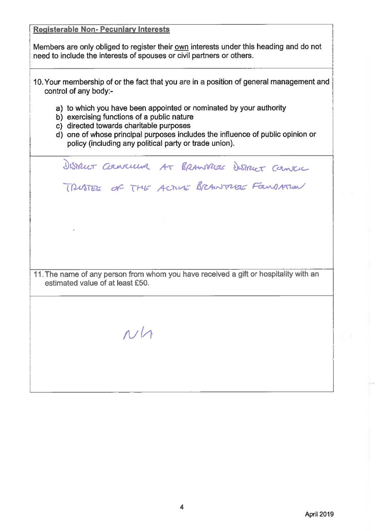| <b>Registerable Non-Pecuniary Interests</b>                                                                                                                                                                                                                                                             |  |  |
|---------------------------------------------------------------------------------------------------------------------------------------------------------------------------------------------------------------------------------------------------------------------------------------------------------|--|--|
| Members are only obliged to register their own interests under this heading and do not<br>need to include the interests of spouses or civil partners or others.                                                                                                                                         |  |  |
| 10. Your membership of or the fact that you are in a position of general management and<br>control of any body:-                                                                                                                                                                                        |  |  |
| a) to which you have been appointed or nominated by your authority<br>b) exercising functions of a public nature<br>c) directed towards charitable purposes<br>d) one of whose principal purposes includes the influence of public opinion or<br>policy (including any political party or trade union). |  |  |
| Dismicr Councillum AT BRANNICLE Dismicr Canneil                                                                                                                                                                                                                                                         |  |  |
| TRUSTEE OF THE ACTUE BRANTREE FOUNDATION                                                                                                                                                                                                                                                                |  |  |
|                                                                                                                                                                                                                                                                                                         |  |  |
|                                                                                                                                                                                                                                                                                                         |  |  |
|                                                                                                                                                                                                                                                                                                         |  |  |
| 11. The name of any person from whom you have received a gift or hospitality with an<br>estimated value of at least £50.                                                                                                                                                                                |  |  |
|                                                                                                                                                                                                                                                                                                         |  |  |
| N/1                                                                                                                                                                                                                                                                                                     |  |  |
|                                                                                                                                                                                                                                                                                                         |  |  |
|                                                                                                                                                                                                                                                                                                         |  |  |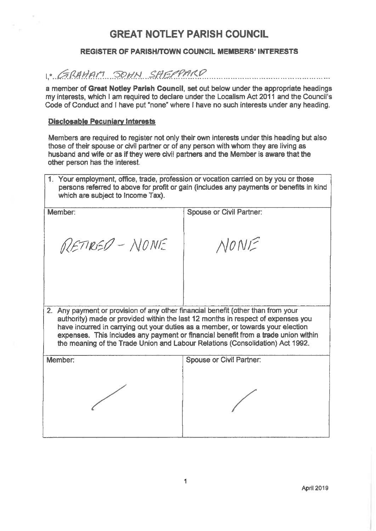#### **REGISTER OF PARISH/TOWN COUNCIL MEMBERS' INTERESTS**

# 1. GRAHAM SOHN SAGPARD

a member of Great Notley Parish Council, set out below under the appropriate headings my interests, which I am required to declare under the Localism Act 2011 and the Council's Code of Conduct and I have put "none" where I have no such interests under any heading.

#### **Disclosable Pecuniary Interests**

Members are required to register not only their own interests under this heading but also those of their spouse or civil partner or of any person with whom they are living as husband and wife or as if they were civil partners and the Member is aware that the other person has the interest.

1. Your employment, office, trade, profession or vocation carried on by you or those persons referred to above for profit or gain (includes any payments or benefits in kind which are subject to Income Tax).

| Member:                                                                                                                                                                                                                                                                                                                                                                                                                        | <b>Spouse or Civil Partner:</b> |  |
|--------------------------------------------------------------------------------------------------------------------------------------------------------------------------------------------------------------------------------------------------------------------------------------------------------------------------------------------------------------------------------------------------------------------------------|---------------------------------|--|
| RETIRED - NONE                                                                                                                                                                                                                                                                                                                                                                                                                 | NONE                            |  |
|                                                                                                                                                                                                                                                                                                                                                                                                                                |                                 |  |
| 2. Any payment or provision of any other financial benefit (other than from your<br>authority) made or provided within the last 12 months in respect of expenses you<br>have incurred in carrying out your duties as a member, or towards your election<br>expenses. This includes any payment or financial benefit from a trade union within<br>the meaning of the Trade Union and Labour Relations (Consolidation) Act 1992. |                                 |  |
| Member:                                                                                                                                                                                                                                                                                                                                                                                                                        | <b>Spouse or Civil Partner:</b> |  |
|                                                                                                                                                                                                                                                                                                                                                                                                                                |                                 |  |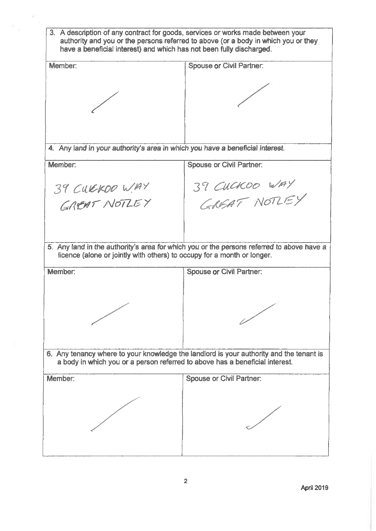3. A description of any contract for goods, services or works made between your authority and you or the persons referred to above (or a body in which you or they have a beneficial interest) and which has not been fully discharged. Spouse or Civil Partner: **Member** 4. Any land in your authority's area in which you have a beneficial interest. Member: **Spouse or Civil Partner:** 39 CUCKOO WAY<br>GREAT NOTLEY 39 CURKOO WAY GREAT NOTLEY 5. Any land in the authority's area for which you or the persons referred to above have a licence (alone or jointly with others) to occupy for a month or longer. **Spouse or Civil Partner:** Member: 6. Any tenancy where to your knowledge the landlord is your authority and the tenant is a body in which you or a person referred to above has a beneficial interest. **Spouse or Civil Partner:** Member: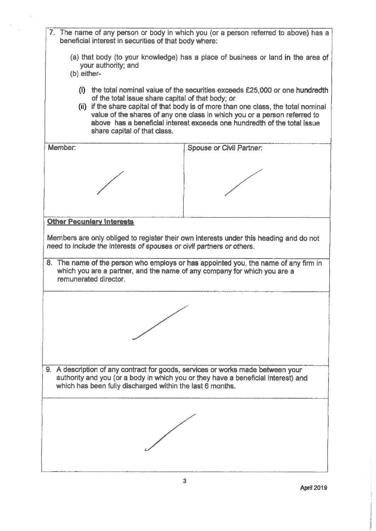7. The name of any person or body in which you (or a person referred to above) has a beneficial interest in securities of that body where: (a) that body (to your knowledge) has a place of business or land in the area of vour authority: and (b) either-(i) the total nominal value of the securities exceeds £25,000 or one hundredth of the total issue share capital of that body; or (ii) if the share capital of that body is of more than one class, the total nominal value of the shares of any one class in which you or a person referred to above has a beneficial interest exceeds one hundredth of the total issue share capital of that class. Member: **Spouse or Civil Partner: Other Pecuniary Interests** Members are only obliged to register their own interests under this heading and do not need to include the interests of spouses or civil partners or others. 8. The name of the person who employs or has appointed you, the name of any firm in which you are a partner, and the name of any company for which you are a remunerated director. 9. A description of any contract for goods, services or works made between your authority and you (or a body in which you or they have a beneficial interest) and which has been fully discharged within the last 6 months.